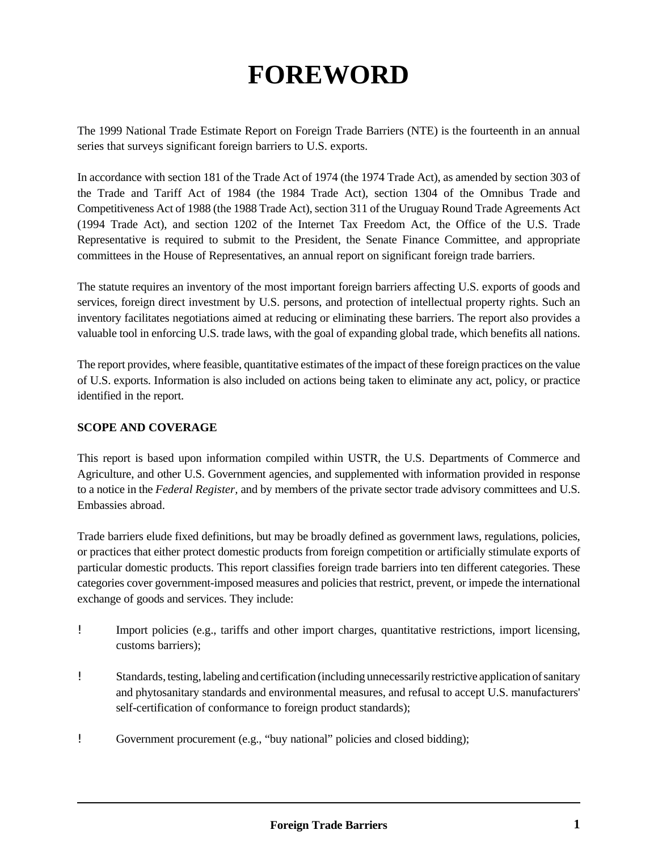# **FOREWORD**

The 1999 National Trade Estimate Report on Foreign Trade Barriers (NTE) is the fourteenth in an annual series that surveys significant foreign barriers to U.S. exports.

In accordance with section 181 of the Trade Act of 1974 (the 1974 Trade Act), as amended by section 303 of the Trade and Tariff Act of 1984 (the 1984 Trade Act), section 1304 of the Omnibus Trade and Competitiveness Act of 1988 (the 1988 Trade Act), section 311 of the Uruguay Round Trade Agreements Act (1994 Trade Act), and section 1202 of the Internet Tax Freedom Act, the Office of the U.S. Trade Representative is required to submit to the President, the Senate Finance Committee, and appropriate committees in the House of Representatives, an annual report on significant foreign trade barriers.

The statute requires an inventory of the most important foreign barriers affecting U.S. exports of goods and services, foreign direct investment by U.S. persons, and protection of intellectual property rights. Such an inventory facilitates negotiations aimed at reducing or eliminating these barriers. The report also provides a valuable tool in enforcing U.S. trade laws, with the goal of expanding global trade, which benefits all nations.

The report provides, where feasible, quantitative estimates of the impact of these foreign practices on the value of U.S. exports. Information is also included on actions being taken to eliminate any act, policy, or practice identified in the report.

# **SCOPE AND COVERAGE**

This report is based upon information compiled within USTR, the U.S. Departments of Commerce and Agriculture, and other U.S. Government agencies, and supplemented with information provided in response to a notice in the *Federal Register,* and by members of the private sector trade advisory committees and U.S. Embassies abroad.

Trade barriers elude fixed definitions, but may be broadly defined as government laws, regulations, policies, or practices that either protect domestic products from foreign competition or artificially stimulate exports of particular domestic products. This report classifies foreign trade barriers into ten different categories. These categories cover government-imposed measures and policies that restrict, prevent, or impede the international exchange of goods and services. They include:

- ! Import policies (e.g., tariffs and other import charges, quantitative restrictions, import licensing, customs barriers);
- ! Standards, testing, labeling and certification (including unnecessarily restrictive application of sanitary and phytosanitary standards and environmental measures, and refusal to accept U.S. manufacturers' self-certification of conformance to foreign product standards);
- ! Government procurement (e.g., "buy national" policies and closed bidding);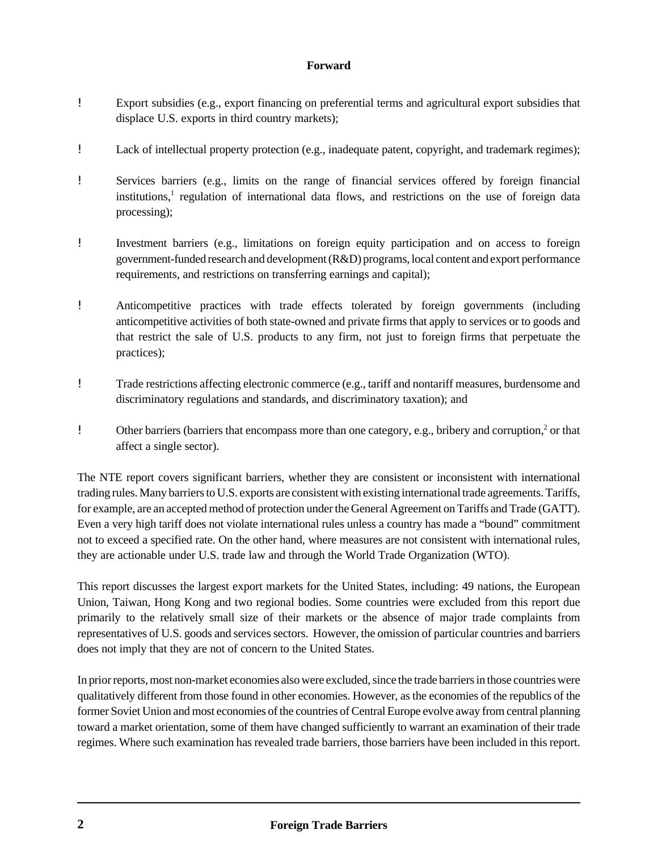- ! Export subsidies (e.g., export financing on preferential terms and agricultural export subsidies that displace U.S. exports in third country markets);
- ! Lack of intellectual property protection (e.g., inadequate patent, copyright, and trademark regimes);
- ! Services barriers (e.g., limits on the range of financial services offered by foreign financial institutions,<sup>1</sup> regulation of international data flows, and restrictions on the use of foreign data processing);
- ! Investment barriers (e.g., limitations on foreign equity participation and on access to foreign government-funded research and development (R&D) programs, local content and export performance requirements, and restrictions on transferring earnings and capital);
- ! Anticompetitive practices with trade effects tolerated by foreign governments (including anticompetitive activities of both state-owned and private firms that apply to services or to goods and that restrict the sale of U.S. products to any firm, not just to foreign firms that perpetuate the practices);
- ! Trade restrictions affecting electronic commerce (e.g., tariff and nontariff measures, burdensome and discriminatory regulations and standards, and discriminatory taxation); and
- **!** Other barriers (barriers that encompass more than one category, e.g., bribery and corruption,<sup>2</sup> or that affect a single sector).

The NTE report covers significant barriers, whether they are consistent or inconsistent with international trading rules. Many barriers to U.S. exports are consistent with existing international trade agreements. Tariffs, for example, are an accepted method of protection under the General Agreement on Tariffs and Trade (GATT). Even a very high tariff does not violate international rules unless a country has made a "bound" commitment not to exceed a specified rate. On the other hand, where measures are not consistent with international rules, they are actionable under U.S. trade law and through the World Trade Organization (WTO).

This report discusses the largest export markets for the United States, including: 49 nations, the European Union, Taiwan, Hong Kong and two regional bodies. Some countries were excluded from this report due primarily to the relatively small size of their markets or the absence of major trade complaints from representatives of U.S. goods and services sectors. However, the omission of particular countries and barriers does not imply that they are not of concern to the United States.

In prior reports, most non-market economies also were excluded, since the trade barriers in those countries were qualitatively different from those found in other economies. However, as the economies of the republics of the former Soviet Union and most economies of the countries of Central Europe evolve away from central planning toward a market orientation, some of them have changed sufficiently to warrant an examination of their trade regimes. Where such examination has revealed trade barriers, those barriers have been included in this report.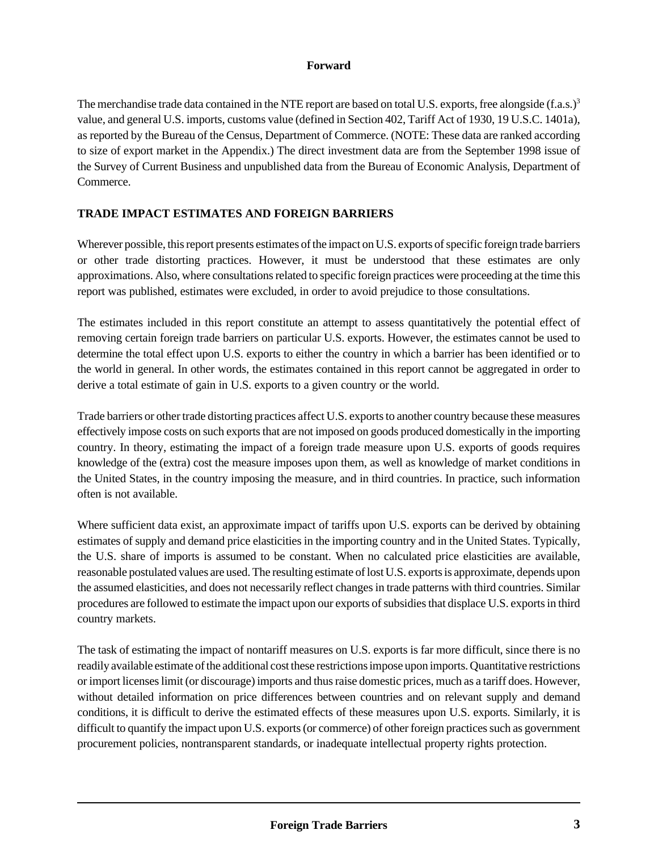The merchandise trade data contained in the NTE report are based on total U.S. exports, free alongside  $(f.a.s.)^3$ value, and general U.S. imports, customs value (defined in Section 402, Tariff Act of 1930, 19 U.S.C. 1401a), as reported by the Bureau of the Census, Department of Commerce. (NOTE: These data are ranked according to size of export market in the Appendix.) The direct investment data are from the September 1998 issue of the Survey of Current Business and unpublished data from the Bureau of Economic Analysis, Department of Commerce.

# **TRADE IMPACT ESTIMATES AND FOREIGN BARRIERS**

Wherever possible, this report presents estimates of the impact on U.S. exports of specific foreign trade barriers or other trade distorting practices. However, it must be understood that these estimates are only approximations. Also, where consultations related to specific foreign practices were proceeding at the time this report was published, estimates were excluded, in order to avoid prejudice to those consultations.

The estimates included in this report constitute an attempt to assess quantitatively the potential effect of removing certain foreign trade barriers on particular U.S. exports. However, the estimates cannot be used to determine the total effect upon U.S. exports to either the country in which a barrier has been identified or to the world in general. In other words, the estimates contained in this report cannot be aggregated in order to derive a total estimate of gain in U.S. exports to a given country or the world.

Trade barriers or other trade distorting practices affect U.S. exports to another country because these measures effectively impose costs on such exports that are not imposed on goods produced domestically in the importing country. In theory, estimating the impact of a foreign trade measure upon U.S. exports of goods requires knowledge of the (extra) cost the measure imposes upon them, as well as knowledge of market conditions in the United States, in the country imposing the measure, and in third countries. In practice, such information often is not available.

Where sufficient data exist, an approximate impact of tariffs upon U.S. exports can be derived by obtaining estimates of supply and demand price elasticities in the importing country and in the United States. Typically, the U.S. share of imports is assumed to be constant. When no calculated price elasticities are available, reasonable postulated values are used. The resulting estimate of lost U.S. exports is approximate, depends upon the assumed elasticities, and does not necessarily reflect changes in trade patterns with third countries. Similar procedures are followed to estimate the impact upon our exports of subsidies that displace U.S. exports in third country markets.

The task of estimating the impact of nontariff measures on U.S. exports is far more difficult, since there is no readily available estimate of the additional cost these restrictions impose upon imports. Quantitative restrictions or import licenses limit (or discourage) imports and thus raise domestic prices, much as a tariff does. However, without detailed information on price differences between countries and on relevant supply and demand conditions, it is difficult to derive the estimated effects of these measures upon U.S. exports. Similarly, it is difficult to quantify the impact upon U.S. exports (or commerce) of other foreign practices such as government procurement policies, nontransparent standards, or inadequate intellectual property rights protection.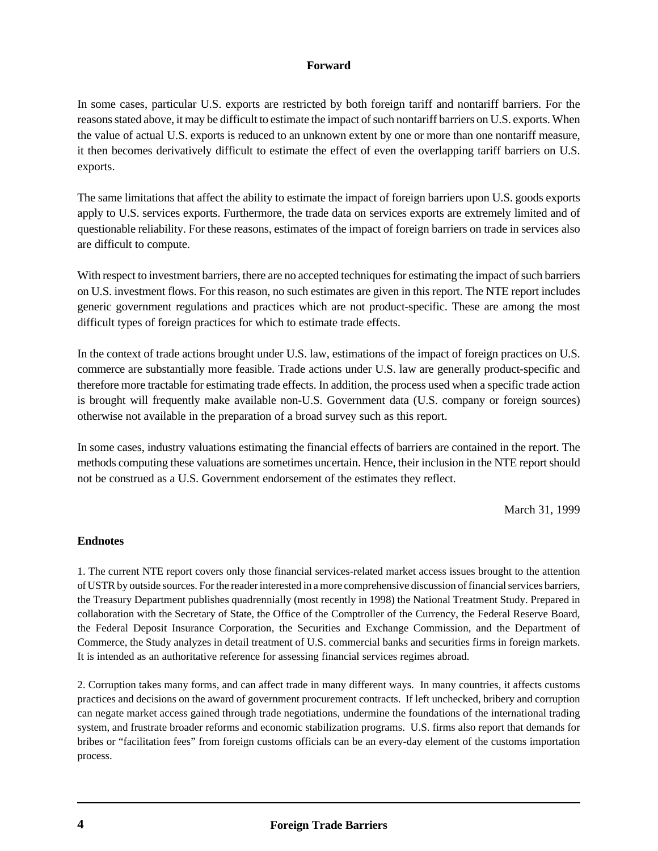In some cases, particular U.S. exports are restricted by both foreign tariff and nontariff barriers. For the reasons stated above, it may be difficult to estimate the impact of such nontariff barriers on U.S. exports. When the value of actual U.S. exports is reduced to an unknown extent by one or more than one nontariff measure, it then becomes derivatively difficult to estimate the effect of even the overlapping tariff barriers on U.S. exports.

The same limitations that affect the ability to estimate the impact of foreign barriers upon U.S. goods exports apply to U.S. services exports. Furthermore, the trade data on services exports are extremely limited and of questionable reliability. For these reasons, estimates of the impact of foreign barriers on trade in services also are difficult to compute.

With respect to investment barriers, there are no accepted techniques for estimating the impact of such barriers on U.S. investment flows. For this reason, no such estimates are given in this report. The NTE report includes generic government regulations and practices which are not product-specific. These are among the most difficult types of foreign practices for which to estimate trade effects.

In the context of trade actions brought under U.S. law, estimations of the impact of foreign practices on U.S. commerce are substantially more feasible. Trade actions under U.S. law are generally product-specific and therefore more tractable for estimating trade effects. In addition, the process used when a specific trade action is brought will frequently make available non-U.S. Government data (U.S. company or foreign sources) otherwise not available in the preparation of a broad survey such as this report.

In some cases, industry valuations estimating the financial effects of barriers are contained in the report. The methods computing these valuations are sometimes uncertain. Hence, their inclusion in the NTE report should not be construed as a U.S. Government endorsement of the estimates they reflect.

March 31, 1999

#### **Endnotes**

1. The current NTE report covers only those financial services-related market access issues brought to the attention of USTR by outside sources. For the reader interested in a more comprehensive discussion of financial services barriers, the Treasury Department publishes quadrennially (most recently in 1998) the National Treatment Study. Prepared in collaboration with the Secretary of State, the Office of the Comptroller of the Currency, the Federal Reserve Board, the Federal Deposit Insurance Corporation, the Securities and Exchange Commission, and the Department of Commerce, the Study analyzes in detail treatment of U.S. commercial banks and securities firms in foreign markets. It is intended as an authoritative reference for assessing financial services regimes abroad.

2. Corruption takes many forms, and can affect trade in many different ways. In many countries, it affects customs practices and decisions on the award of government procurement contracts. If left unchecked, bribery and corruption can negate market access gained through trade negotiations, undermine the foundations of the international trading system, and frustrate broader reforms and economic stabilization programs. U.S. firms also report that demands for bribes or "facilitation fees" from foreign customs officials can be an every-day element of the customs importation process.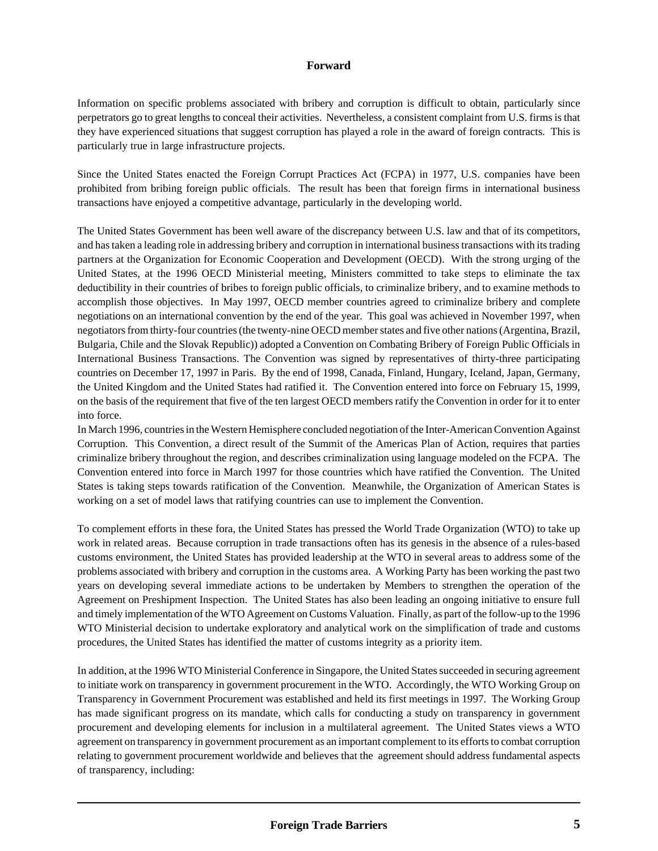Information on specific problems associated with bribery and corruption is difficult to obtain, particularly since perpetrators go to great lengths to conceal their activities. Nevertheless, a consistent complaint from U.S. firms is that they have experienced situations that suggest corruption has played a role in the award of foreign contracts. This is particularly true in large infrastructure projects.

Since the United States enacted the Foreign Corrupt Practices Act (FCPA) in 1977, U.S. companies have been prohibited from bribing foreign public officials. The result has been that foreign firms in international business transactions have enjoyed a competitive advantage, particularly in the developing world.

The United States Government has been well aware of the discrepancy between U.S. law and that of its competitors, and has taken a leading role in addressing bribery and corruption in international business transactions with its trading partners at the Organization for Economic Cooperation and Development (OECD). With the strong urging of the United States, at the 1996 OECD Ministerial meeting, Ministers committed to take steps to eliminate the tax deductibility in their countries of bribes to foreign public officials, to criminalize bribery, and to examine methods to accomplish those objectives. In May 1997, OECD member countries agreed to criminalize bribery and complete negotiations on an international convention by the end of the year. This goal was achieved in November 1997, when negotiators from thirty-four countries (the twenty-nine OECD member states and five other nations (Argentina, Brazil, Bulgaria, Chile and the Slovak Republic)) adopted a Convention on Combating Bribery of Foreign Public Officials in International Business Transactions. The Convention was signed by representatives of thirty-three participating countries on December 17, 1997 in Paris. By the end of 1998, Canada, Finland, Hungary, Iceland, Japan, Germany, the United Kingdom and the United States had ratified it. The Convention entered into force on February 15, 1999, on the basis of the requirement that five of the ten largest OECD members ratify the Convention in order for it to enter into force.

In March 1996, countries in the Western Hemisphere concluded negotiation of the Inter-American Convention Against Corruption. This Convention, a direct result of the Summit of the Americas Plan of Action, requires that parties criminalize bribery throughout the region, and describes criminalization using language modeled on the FCPA. The Convention entered into force in March 1997 for those countries which have ratified the Convention. The United States is taking steps towards ratification of the Convention. Meanwhile, the Organization of American States is working on a set of model laws that ratifying countries can use to implement the Convention.

To complement efforts in these fora, the United States has pressed the World Trade Organization (WTO) to take up work in related areas. Because corruption in trade transactions often has its genesis in the absence of a rules-based customs environment, the United States has provided leadership at the WTO in several areas to address some of the problems associated with bribery and corruption in the customs area. A Working Party has been working the past two years on developing several immediate actions to be undertaken by Members to strengthen the operation of the Agreement on Preshipment Inspection. The United States has also been leading an ongoing initiative to ensure full and timely implementation of the WTO Agreement on Customs Valuation. Finally, as part of the follow-up to the 1996 WTO Ministerial decision to undertake exploratory and analytical work on the simplification of trade and customs procedures, the United States has identified the matter of customs integrity as a priority item.

In addition, at the 1996 WTO Ministerial Conference in Singapore, the United States succeeded in securing agreement to initiate work on transparency in government procurement in the WTO. Accordingly, the WTO Working Group on Transparency in Government Procurement was established and held its first meetings in 1997. The Working Group has made significant progress on its mandate, which calls for conducting a study on transparency in government procurement and developing elements for inclusion in a multilateral agreement. The United States views a WTO agreement on transparency in government procurement as an important complement to its efforts to combat corruption relating to government procurement worldwide and believes that the agreement should address fundamental aspects of transparency, including: